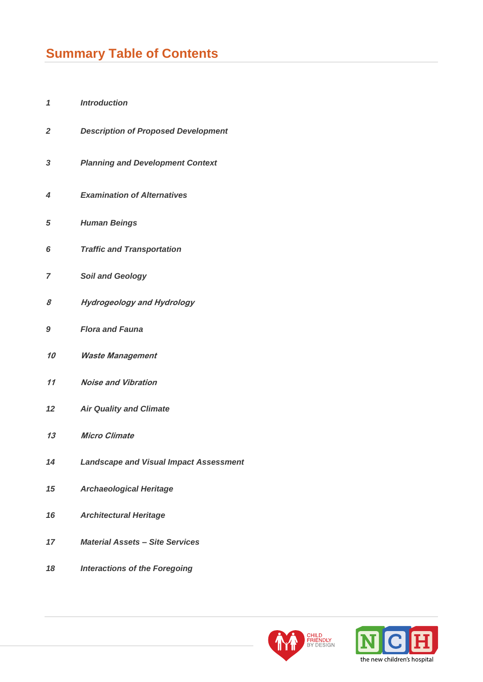# **Summary Table of Contents**

- *Introduction*
- *Description of Proposed Development*
- *Planning and Development Context*
- *Examination of Alternatives*
- *Human Beings*
- *Traffic and Transportation*
- *Soil and Geology*
- **Hydrogeology and Hydrology**
- *Flora and Fauna*
- **Waste Management**
- **Noise and Vibration**
- *Air Quality and Climate*
- **Micro Climate**
- *Landscape and Visual Impact Assessment*
- *Archaeological Heritage*
- *Architectural Heritage*
- *Material Assets – Site Services*
- *Interactions of the Foregoing*



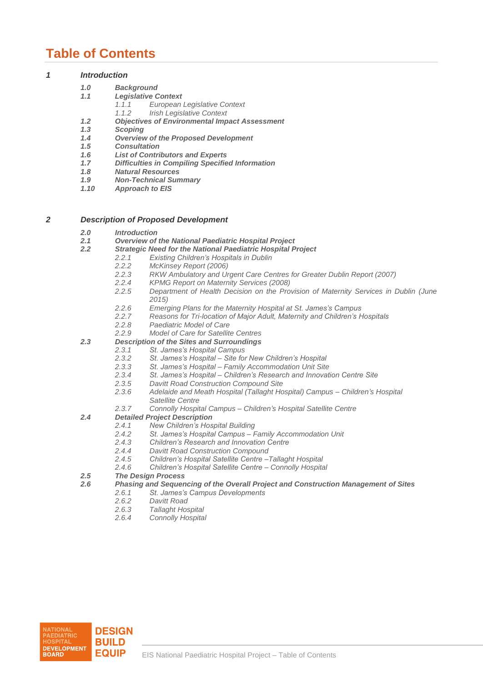## **Table of Contents**

## *1 Introduction*

- *1.0 Background*
	- *1.1 Legislative Context* 
		- *1.1.1 European Legislative Context*
		- *1.1.2 Irish Legislative Context*
- *1.2 Objectives of Environmental Impact Assessment*
- *1.3 Scoping*
- *1.4 Overview of the Proposed Development*
- *1.5 Consultation*
- *1.6 List of Contributors and Experts*
- *1.7 Difficulties in Compiling Specified Information*
- *1.8 Natural Resources*
- *1.9 Non-Technical Summary*
- **Approach to EIS**

## *2 Description of Proposed Development*

- *2.0 Introduction*
- *2.1 Overview of the National Paediatric Hospital Project*
	- *2.2 Strategic Need for the National Paediatric Hospital Project*
		- *2.2.1 Existing Children's Hospitals in Dublin*
			- *2.2.2 McKinsey Report (2006)*
		- *2.2.3 RKW Ambulatory and Urgent Care Centres for Greater Dublin Report (2007)*
		- *2.2.4 KPMG Report on Maternity Services (2008)*
		- *2.2.5 Department of Health Decision on the Provision of Maternity Services in Dublin (June 2015)*
		- *2.2.6 Emerging Plans for the Maternity Hospital at St. James's Campus*
		- *2.2.7 Reasons for Tri-location of Major Adult, Maternity and Children's Hospitals*
		- *2.2.8 Paediatric Model of Care*
		- *2.2.9 Model of Care for Satellite Centres*
- *2.3 Description of the Sites and Surroundings*
	- *2.3.1 St. James's Hospital Campus*
		- *2.3.2 St. James's Hospital – Site for New Children's Hospital*
		- *2.3.3 St. James's Hospital – Family Accommodation Unit Site*
		- *2.3.4 St. James's Hospital – Children's Research and Innovation Centre Site*
		- *2.3.5 Davitt Road Construction Compound Site*
			- *2.3.6 Adelaide and Meath Hospital (Tallaght Hospital) Campus – Children's Hospital Satellite Centre*
		- *2.3.7 Connolly Hospital Campus – Children's Hospital Satellite Centre*
- *2.4 Detailed Project Description*
	- *2.4.1 New Children's Hospital Building*
		- *2.4.2 St. James's Hospital Campus – Family Accommodation Unit*
		- *2.4.3 Children's Research and Innovation Centre*
		- *2.4.4 Davitt Road Construction Compound*
		- *2.4.5 Children's Hospital Satellite Centre –Tallaght Hospital*
		- *2.4.6 Children's Hospital Satellite Centre – Connolly Hospital*

## *2.5 The Design Process*

- *2.6 Phasing and Sequencing of the Overall Project and Construction Management of Sites*
	- *2.6.1 St. James's Campus Developments*
		- *2.6.2 Davitt Road*
		- *2.6.3 Tallaght Hospital*
		- *2.6.4 Connolly Hospital*

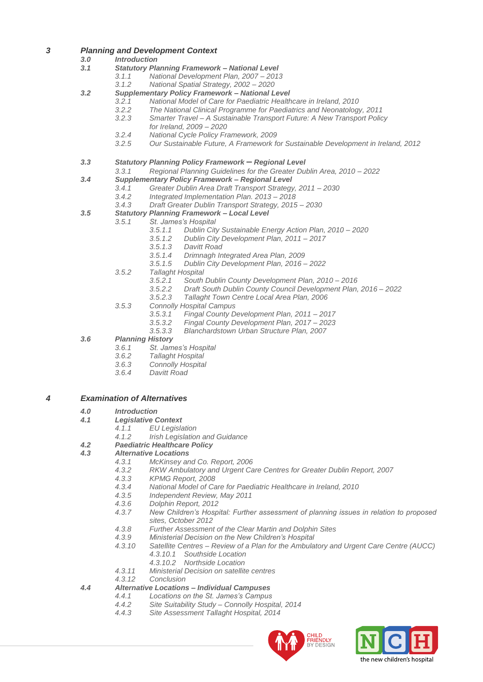## *3 Planning and Development Context*

## *3.0 Introduction*

- *3.1 Statutory Planning Framework – National Level*
	- *3.1.1 National Development Plan, 2007 – 2013*
	- *3.1.2 National Spatial Strategy, 2002 – 2020*
- *3.2 Supplementary Policy Framework – National Level*
	- *3.2.1 National Model of Care for Paediatric Healthcare in Ireland, 2010*
	- *3.2.2 The National Clinical Programme for Paediatrics and Neonatology, 2011*
	- *3.2.3 Smarter Travel – A Sustainable Transport Future: A New Transport Policy for Ireland, 2009 – 2020*
	- *3.2.4 National Cycle Policy Framework, 2009*
	- *3.2.5 Our Sustainable Future, A Framework for Sustainable Development in Ireland, 2012*
- *3.3 Statutory Planning Policy Framework – Regional Level*
	- *3.3.1 Regional Planning Guidelines for the Greater Dublin Area, 2010 – 2022*
- *3.4 Supplementary Policy Framework – Regional Level*
	- *3.4.1 Greater Dublin Area Draft Transport Strategy, 2011 – 2030*
	- *3.4.2 Integrated Implementation Plan. 2013 – 2018*
	- *3.4.3 Draft Greater Dublin Transport Strategy, 2015 – 2030*
- *3.5 Statutory Planning Framework – Local Level*
	- *3.5.1 St. James's Hospital*
		- *3.5.1.1 Dublin City Sustainable Energy Action Plan, 2010 – 2020*
		- *3.5.1.2 Dublin City Development Plan, 2011 – 2017*
		- *3.5.1.3 Davitt Road*
		- *3.5.1.4 Drimnagh Integrated Area Plan, 2009*
		- *3.5.1.5 Dublin City Development Plan, 2016 – 2022*
		- *3.5.2 Tallaght Hospital*
			- *3.5.2.1 South Dublin County Development Plan, 2010 – 2016*
			- *3.5.2.2 Draft South Dublin County Council Development Plan, 2016 – 2022*
			- *3.5.2.3 Tallaght Town Centre Local Area Plan, 2006*
		- *3.5.3 Connolly Hospital Campus*
			- *3.5.3.1 Fingal County Development Plan, 2011 – 2017*
			- *3.5.3.2 Fingal County Development Plan, 2017 – 2023*
			- *3.5.3.3 Blanchardstown Urban Structure Plan, 2007*

## *3.6 Planning History*

- *3.6.1 St. James's Hospital*
- *3.6.2 Tallaght Hospital*
- *3.6.3 Connolly Hospital*
- *3.6.4 Davitt Road*

## *4 Examination of Alternatives*

- *4.0 Introduction*
- *4.1 Legislative Context*
	- *4.1.1 EU Legislation* 
		- *4.1.2 Irish Legislation and Guidance*

## *4.2 Paediatric Healthcare Policy*

- *4.3 Alternative Locations*
	- *4.3.1 McKinsey and Co. Report, 2006*
	- *4.3.2 RKW Ambulatory and Urgent Care Centres for Greater Dublin Report, 2007*
	- *4.3.3 KPMG Report, 2008*
	- *4.3.4 National Model of Care for Paediatric Healthcare in Ireland, 2010*
	- *4.3.5 Independent Review, May 2011*
	- *4.3.6 Dolphin Report, 2012*
	- *4.3.7 New Children's Hospital: Further assessment of planning issues in relation to proposed sites, October 2012*
	- *4.3.8 Further Assessment of the Clear Martin and Dolphin Sites*
	- *4.3.9 Ministerial Decision on the New Children's Hospital*
	- *4.3.10 Satellite Centres – Review of a Plan for the Ambulatory and Urgent Care Centre (AUCC)*
		- *4.3.10.1 Southside Location*
		- *4.3.10.2 Northside Location*
	- *4.3.11 Ministerial Decision on satellite centres*
	- *4.3.12 Conclusion*

## *4.4 Alternative Locations – Individual Campuses*

- *4.4.1 Locations on the St. James's Campus*
- *4.4.2 Site Suitability Study – Connolly Hospital, 2014*
- *4.4.3 Site Assessment Tallaght Hospital, 2014*



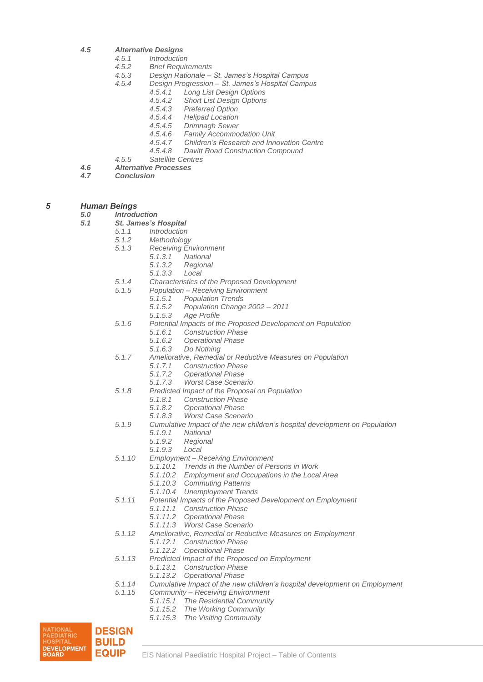- *4.5 Alternative Designs*
	- *4.5.1 Introduction*
	- *4.5.2 Brief Requirements*
	- *4.5.3 Design Rationale – St. James's Hospital Campus*
	- *4.5.4 Design Progression – St. James's Hospital Campus*
		- *4.5.4.1 Long List Design Options*
		- *4.5.4.2 Short List Design Options*
		- *4.5.4.3 Preferred Option*
		- *4.5.4.4 Helipad Location*
		- *4.5.4.5 Drimnagh Sewer*
		- *4.5.4.6 Family Accommodation Unit*
		- *4.5.4.7 Children's Research and Innovation Centre*
		- *4.5.4.8 Davitt Road Construction Compound*
- *4.5.5 Satellite Centres 4.6 Alternative Processes*
- 
- *4.7 Conclusion*

## *5 Human Beings*

*5.0 Introduction*

- *5.1 St. James's Hospital*
	- *5.1.1 Introduction*
	- *5.1.2 Methodology*
		- *5.1.3 Receiving Environment*
			- *5.1.3.1 National*
			- *5.1.3.2 Regional*
			- *5.1.3.3 Local*
	- *5.1.4 Characteristics of the Proposed Development*
	- *5.1.5 Population – Receiving Environment*
		- *5.1.5.1 Population Trends*
		- *5.1.5.2 Population Change 2002 – 2011*
		- *5.1.5.3 Age Profile*
	- *5.1.6 Potential Impacts of the Proposed Development on Population*
		- *5.1.6.1 Construction Phase*
			- *5.1.6.2 Operational Phase*
			- *5.1.6.3 Do Nothing*
	- *5.1.7 Ameliorative, Remedial or Reductive Measures on Population*
		- *5.1.7.1 Construction Phase*
		- *5.1.7.2 Operational Phase*
		- *5.1.7.3 Worst Case Scenario*
	- *5.1.8 Predicted Impact of the Proposal on Population*
		- - *5.1.8.1 Construction Phase 5.1.8.2 Operational Phase*
			- *5.1.8.3 Worst Case Scenario*
	- *5.1.9 Cumulative Impact of the new children's hospital development on Population*
		- *5.1.9.1 National*
			- *5.1.9.2 Regional*
			- *5.1.9.3 Local*
	- *5.1.10 Employment – Receiving Environment*
		- *5.1.10.1 Trends in the Number of Persons in Work*
		- *5.1.10.2 Employment and Occupations in the Local Area*
		- *5.1.10.3 Commuting Patterns*
		- *5.1.10.4 Unemployment Trends*
	- *5.1.11 Potential Impacts of the Proposed Development on Employment*
		- *5.1.11.1 Construction Phase*
			- *5.1.11.2 Operational Phase*
			- *5.1.11.3 Worst Case Scenario*
	- *5.1.12 Ameliorative, Remedial or Reductive Measures on Employment*
		- *5.1.12.1 Construction Phase*
		- *5.1.12.2 Operational Phase*
	- *5.1.13 Predicted Impact of the Proposed on Employment*
		- *5.1.13.1 Construction Phase*
		- *5.1.13.2 Operational Phase*
	- *5.1.14 Cumulative Impact of the new children's hospital development on Employment*
	- *5.1.15 Community – Receiving Environment*
		- *5.1.15.1 The Residential Community*
		- *5.1.15.2 The Working Community*
		- *5.1.15.3 The Visiting Community*

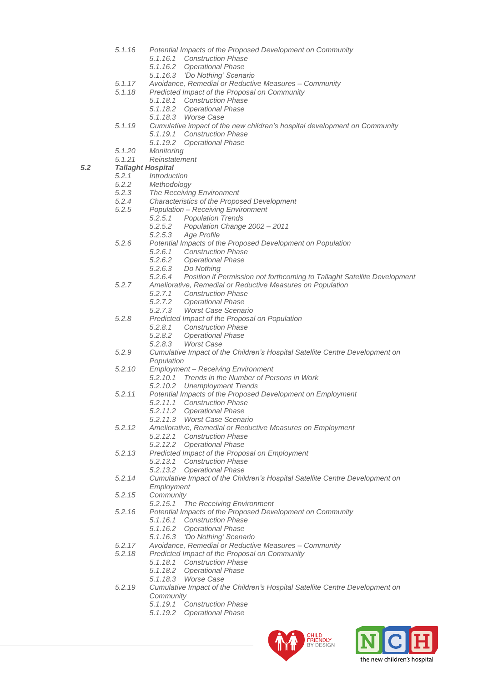- *5.1.16 Potential Impacts of the Proposed Development on Community*
	- *5.1.16.1 Construction Phase*
	- *5.1.16.2 Operational Phase*
	- *5.1.16.3 'Do Nothing' Scenario*
- *5.1.17 Avoidance, Remedial or Reductive Measures – Community*
- *5.1.18 Predicted Impact of the Proposal on Community*
	- *5.1.18.1 Construction Phase*
	- *5.1.18.2 Operational Phase*
		- *5.1.18.3 Worse Case*
- *5.1.19 Cumulative impact of the new children's hospital development on Community*
	- *5.1.19.1 Construction Phase*
	- *5.1.19.2 Operational Phase*
- *5.1.20 Monitoring*
- *5.1.21 Reinstatement*

- *5.2.1 Introduction*
- *5.2.2 Methodology*
- *5.2.3 The Receiving Environment*
- *5.2.4 Characteristics of the Proposed Development*
- *5.2.5 Population – Receiving Environment*
	- *5.2.5.1 Population Trends*
		- *5.2.5.2 Population Change 2002 – 2011*
		- *5.2.5.3 Age Profile*
- *5.2.6 Potential Impacts of the Proposed Development on Population*
	- *5.2.6.1 Construction Phase*
	- *5.2.6.2 Operational Phase*
	- *5.2.6.3 Do Nothing*
	- *5.2.6.4 Position if Permission not forthcoming to Tallaght Satellite Development*
- *5.2.7 Ameliorative, Remedial or Reductive Measures on Population*
	- *5.2.7.1 Construction Phase*
	- *5.2.7.2 Operational Phase*
	- *5.2.7.3 Worst Case Scenario*
- *5.2.8 Predicted Impact of the Proposal on Population*
	- *5.2.8.1 Construction Phase*
	- *5.2.8.2 Operational Phase*
	- *5.2.8.3 Worst Case*
- *5.2.9 Cumulative Impact of the Children's Hospital Satellite Centre Development on*
- *Population 5.2.10 Employment – Receiving Environment*
	- *5.2.10.1 Trends in the Number of Persons in Work*
		- *5.2.10.2 Unemployment Trends*
- *5.2.11 Potential Impacts of the Proposed Development on Employment*
	- *5.2.11.1 Construction Phase*
	- *5.2.11.2 Operational Phase*
	- *5.2.11.3 Worst Case Scenario*
- *5.2.12 Ameliorative, Remedial or Reductive Measures on Employment*
	- *5.2.12.1 Construction Phase*
	- *5.2.12.2 Operational Phase*
- *5.2.13 Predicted Impact of the Proposal on Employment*
	- *5.2.13.1 Construction Phase*
	- *5.2.13.2 Operational Phase*
- *5.2.14 Cumulative Impact of the Children's Hospital Satellite Centre Development on*
- *Employment*
- *5.2.15 Community*
	- *5.2.15.1 The Receiving Environment*
- *5.2.16 Potential Impacts of the Proposed Development on Community*
	- *5.1.16.1 Construction Phase*
	- *5.1.16.2 Operational Phase*
	- *5.1.16.3 'Do Nothing' Scenario*
- *5.2.17 Avoidance, Remedial or Reductive Measures – Community*
- *5.2.18 Predicted Impact of the Proposal on Community*
	- *5.1.18.1 Construction Phase*
		- *5.1.18.2 Operational Phase*
		- *5.1.18.3 Worse Case*
- *5.2.19 Cumulative Impact of the Children's Hospital Satellite Centre Development on Community*
	- *5.1.19.1 Construction Phase*
	- *5.1.19.2 Operational Phase*



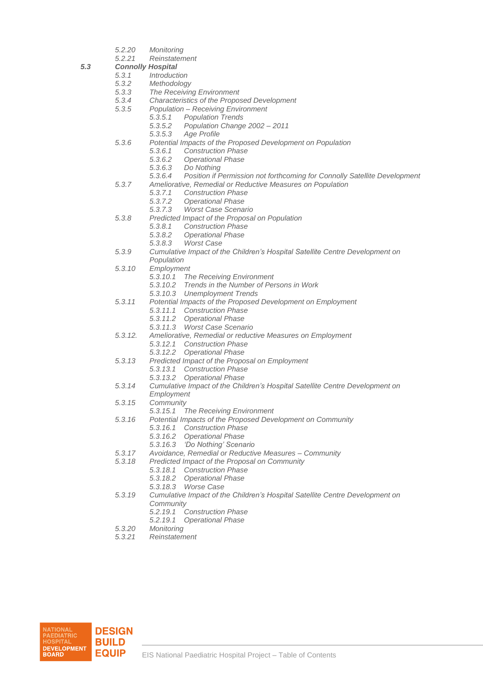- *5.2.20 Monitoring*
- *5.2.21 Reinstatement*

*5.3 Connolly Hospital*

- *5.3.1 Introduction*
- *5.3.2 Methodology*
- *5.3.3 The Receiving Environment*
- *5.3.4 Characteristics of the Proposed Development*
	- *5.3.5 Population – Receiving Environment*
		- *5.3.5.1 Population Trends*
		- *5.3.5.2 Population Change 2002 – 2011*
			- *5.3.5.3 Age Profile*
- *5.3.6 Potential Impacts of the Proposed Development on Population*
	- *5.3.6.1 Construction Phase*
	- *5.3.6.2 Operational Phase*
	- *5.3.6.3 Do Nothing*
	- *5.3.6.4 Position if Permission not forthcoming for Connolly Satellite Development*
- *5.3.7 Ameliorative, Remedial or Reductive Measures on Population*
	- *5.3.7.1 Construction Phase*
	- *5.3.7.2 Operational Phase*
	- *5.3.7.3 Worst Case Scenario*
- *5.3.8 Predicted Impact of the Proposal on Population*
	- *5.3.8.1 Construction Phase*
	- *5.3.8.2 Operational Phase*
	- *5.3.8.3 Worst Case*
- *5.3.9 Cumulative Impact of the Children's Hospital Satellite Centre Development on Population*
- *5.3.10 Employment*
	- *5.3.10.1 The Receiving Environment*
	- *5.3.10.2 Trends in the Number of Persons in Work*
	- *5.3.10.3 Unemployment Trends*
- *5.3.11 Potential Impacts of the Proposed Development on Employment*
	- *5.3.11.1 Construction Phase*
	- *5.3.11.2 Operational Phase*
	- *5.3.11.3 Worst Case Scenario*
- *5.3.12. Ameliorative, Remedial or reductive Measures on Employment*
	- *5.3.12.1 Construction Phase*
	- *5.3.12.2 Operational Phase*
- *5.3.13 Predicted Impact of the Proposal on Employment*
	- *5.3.13.1 Construction Phase*
	- *5.3.13.2 Operational Phase*
- *5.3.14 Cumulative Impact of the Children's Hospital Satellite Centre Development on Employment*
- *5.3.15 Community*
	- *5.3.15.1 The Receiving Environment*
- *5.3.16 Potential Impacts of the Proposed Development on Community*
	- *5.3.16.1 Construction Phase*
		- *5.3.16.2 Operational Phase*
	- *5.3.16.3 'Do Nothing' Scenario*
- *5.3.17 Avoidance, Remedial or Reductive Measures – Community*
- *5.3.18 Predicted Impact of the Proposal on Community*
	- *5.3.18.1 Construction Phase*
	- *5.3.18.2 Operational Phase*
	- *5.3.18.3 Worse Case*
- *5.3.19 Cumulative Impact of the Children's Hospital Satellite Centre Development on Community*
	- *5.2.19.1 Construction Phase*
	- *5.2.19.1 Operational Phase*
- *5.3.20 Monitoring*
- *5.3.21 Reinstatement*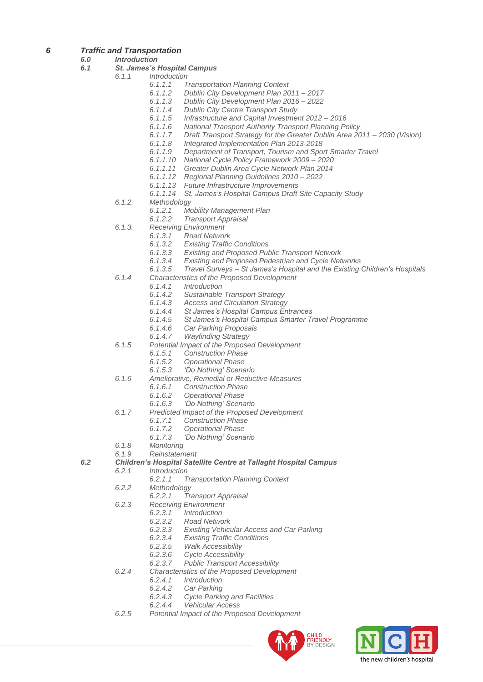- *6 Traffic and Transportation*
	- *6.0 Introduction*

#### *6.1 St. James's Hospital Campus*

- *6.1.1 Introduction*
	- *6.1.1.1 Transportation Planning Context*
	- *6.1.1.2 Dublin City Development Plan 2011 – 2017*
	- *6.1.1.3 Dublin City Development Plan 2016 – 2022*
	- *6.1.1.4 Dublin City Centre Transport Study*
	- *6.1.1.5 Infrastructure and Capital Investment 2012 – 2016*
	- *6.1.1.6 National Transport Authority Transport Planning Policy*
	- *6.1.1.7 Draft Transport Strategy for the Greater Dublin Area 2011 – 2030 (Vision)*
	- *6.1.1.8 Integrated Implementation Plan 2013-2018*
	- *6.1.1.9 Department of Transport, Tourism and Sport Smarter Travel*
	- *6.1.1.10 National Cycle Policy Framework 2009 – 2020*
	- *6.1.1.11 Greater Dublin Area Cycle Network Plan 2014*
	- *6.1.1.12 Regional Planning Guidelines 2010 – 2022*
	- *6.1.1.13 Future Infrastructure Improvements*
	- *6.1.1.14 St. James's Hospital Campus Draft Site Capacity Study*
	- *6.1.2. Methodology*
		- *6.1.2.1 Mobility Management Plan*
		- *6.1.2.2 Transport Appraisal*
	- *6.1.3. Receiving Environment*
		- *6.1.3.1 Road Network*
			- *6.1.3.2 Existing Traffic Conditions*
			- *6.1.3.3 Existing and Proposed Public Transport Network*
			- *6.1.3.4 Existing and Proposed Pedestrian and Cycle Networks*
			- *6.1.3.5 Travel Surveys – St James's Hospital and the Existing Children's Hospitals*
	- *6.1.4 Characteristics of the Proposed Development*
		- *6.1.4.1 Introduction*
		- *6.1.4.2 Sustainable Transport Strategy*
		- *6.1.4.3 Access and Circulation Strategy*
		- *6.1.4.4 St James's Hospital Campus Entrances*
		- *6.1.4.5 St James's Hospital Campus Smarter Travel Programme*
		- *6.1.4.6 Car Parking Proposals*
		- *6.1.4.7 Wayfinding Strategy*
	- *6.1.5 Potential Impact of the Proposed Development*
		- *6.1.5.1 Construction Phase*
		- *6.1.5.2 Operational Phase*
		- *6.1.5.3 'Do Nothing' Scenario*
	- *6.1.6 Ameliorative, Remedial or Reductive Measures*
		- *6.1.6.1 Construction Phase*
		- *6.1.6.2 Operational Phase*
		- *6.1.6.3 'Do Nothing' Scenario*
	- *6.1.7 Predicted Impact of the Proposed Development*
		- *6.1.7.1 Construction Phase*
		-
		- *6.1.7.2 Operational Phase 6.1.7.3 'Do Nothing' Scenario*
	- *6.1.8 Monitoring*
	- *6.1.9 Reinstatement*
- *6.2 Children's Hospital Satellite Centre at Tallaght Hospital Campus*
	- *6.2.1 Introduction*
		- *6.2.1.1 Transportation Planning Context*
	- *6.2.2 Methodology*
		- *6.2.2.1 Transport Appraisal*
	- *6.2.3 Receiving Environment*
		- *6.2.3.1 Introduction*
			- *6.2.3.2 Road Network*
			- *6.2.3.3 Existing Vehicular Access and Car Parking*
			- *6.2.3.4 Existing Traffic Conditions*
			- *6.2.3.5 Walk Accessibility*
			- *6.2.3.6 Cycle Accessibility*
			- *6.2.3.7 Public Transport Accessibility*
	- *6.2.4 Characteristics of the Proposed Development*
		- *6.2.4.1 Introduction*
		- *6.2.4.2 Car Parking*
		- *6.2.4.3 Cycle Parking and Facilities*
		- *6.2.4.4 Vehicular Access*
	- *6.2.5 Potential Impact of the Proposed Development*



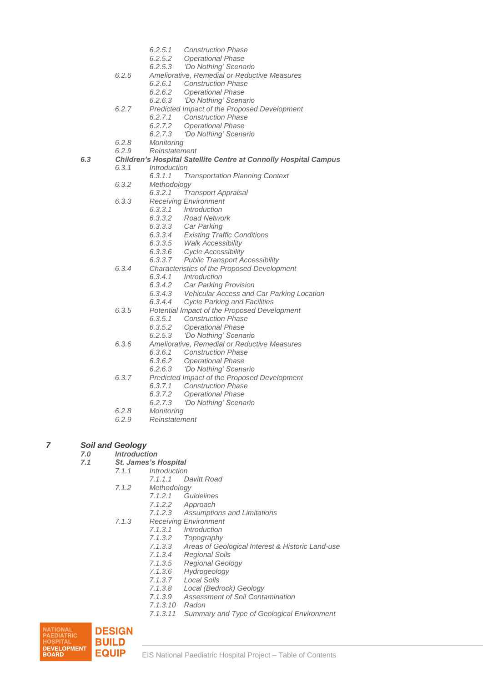- *6.2.5.1 Construction Phase*
- *6.2.5.2 Operational Phase*
- *6.2.5.3 'Do Nothing' Scenario*
- *6.2.6 Ameliorative, Remedial or Reductive Measures*
	- *6.2.6.1 Construction Phase*
	- *6.2.6.2 Operational Phase*
	- *6.2.6.3 'Do Nothing' Scenario*
- *6.2.7 Predicted Impact of the Proposed Development*
	- *6.2.7.1 Construction Phase*
	- *6.2.7.2 Operational Phase*
	- *6.2.7.3 'Do Nothing' Scenario*
- *6.2.8 Monitoring*
- *6.2.9 Reinstatement*

## *6.3 Children's Hospital Satellite Centre at Connolly Hospital Campus*

- *6.3.1 Introduction*
	- *6.3.1.1 Transportation Planning Context*
- *6.3.2 Methodology*
	- *6.3.2.1 Transport Appraisal*
- *6.3.3 Receiving Environment*
	- *6.3.3.1 Introduction*
	- *6.3.3.2 Road Network*
	- *6.3.3.3 Car Parking*
		- *6.3.3.4 Existing Traffic Conditions*
	- *6.3.3.5 Walk Accessibility*
	- *6.3.3.6 Cycle Accessibility*
	- *6.3.3.7 Public Transport Accessibility*
- *6.3.4 Characteristics of the Proposed Development*
	- *6.3.4.1 Introduction*
		- *6.3.4.2 Car Parking Provision*
	- *6.3.4.3 Vehicular Access and Car Parking Location*
	- *6.3.4.4 Cycle Parking and Facilities*
- *6.3.5 Potential Impact of the Proposed Development*
	- *6.3.5.1 Construction Phase*
		- *6.3.5.2 Operational Phase*
		- *6.2.5.3 'Do Nothing' Scenario*
- *6.3.6 Ameliorative, Remedial or Reductive Measures*
	- *6.3.6.1 Construction Phase*
	- *6.3.6.2 Operational Phase*
	- *6.2.6.3 'Do Nothing' Scenario*
- *6.3.7 Predicted Impact of the Proposed Development*
	- *6.3.7.1 Construction Phase*
	- *6.3.7.2 Operational Phase*
	- *6.2.7.3 'Do Nothing' Scenario*
- *6.2.8 Monitoring*
- *6.2.9 Reinstatement*
- *7 Soil and Geology*

- *7.0 Introduction 7.1 St. James's Hospital*
	- *7.1.1 Introduction*
		- *7.1.1.1 Davitt Road*
		- *7.1.2 Methodology*
			- *7.1.2.1 Guidelines*
				- *7.1.2.2 Approach*
			- *7.1.2.3 Assumptions and Limitations*
		- *7.1.3 Receiving Environment*
			- *7.1.3.1 Introduction*
			- *7.1.3.2 Topography*
				- *7.1.3.3 Areas of Geological Interest & Historic Land-use*
			- *7.1.3.4 Regional Soils*
			- *7.1.3.5 Regional Geology*
			- *7.1.3.6 Hydrogeology*
			- *7.1.3.7 Local Soils*
			- *7.1.3.8 Local (Bedrock) Geology*
			- *7.1.3.9 Assessment of Soil Contamination*
			- *7.1.3.10 Radon*
			- *7.1.3.11 Summary and Type of Geological Environment*

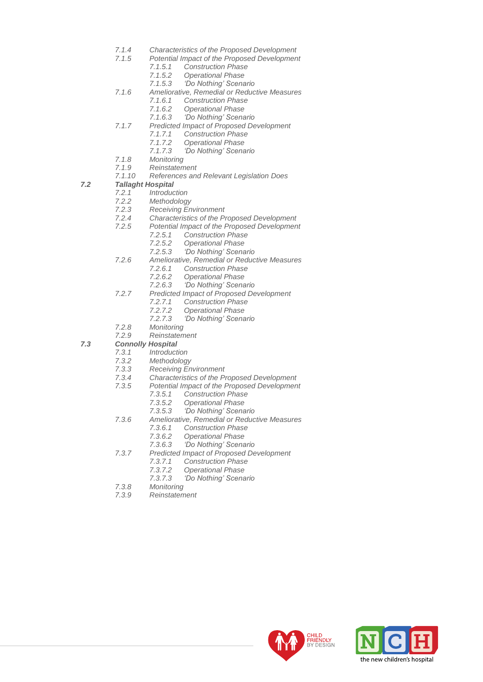- *7.1.4 Characteristics of the Proposed Development*
- *7.1.5 Potential Impact of the Proposed Development*
	- *7.1.5.1 Construction Phase*
	- *7.1.5.2 Operational Phase*
	- *7.1.5.3 'Do Nothing' Scenario*
- *7.1.6 Ameliorative, Remedial or Reductive Measures*
	- *7.1.6.1 Construction Phase*
	- *7.1.6.2 Operational Phase*
	- *7.1.6.3 'Do Nothing' Scenario*
- *7.1.7 Predicted Impact of Proposed Development*
	- *7.1.7.1 Construction Phase*
	- *7.1.7.2 Operational Phase*
	- *7.1.7.3 'Do Nothing' Scenario*
- *7.1.8 Monitoring*
- *7.1.9 Reinstatement*
- *7.1.10 References and Relevant Legislation Does*

- *7.2.1 Introduction*
- *7.2.2 Methodology*
- *7.2.3 Receiving Environment*
- *7.2.4 Characteristics of the Proposed Development*
- *7.2.5 Potential Impact of the Proposed Development*
	- *7.2.5.1 Construction Phase*
	- *7.2.5.2 Operational Phase*
	- *7.2.5.3 'Do Nothing' Scenario*
- *7.2.6 Ameliorative, Remedial or Reductive Measures*
	- *7.2.6.1 Construction Phase*
	- *7.2.6.2 Operational Phase*
	- *7.2.6.3 'Do Nothing' Scenario*
- *7.2.7 Predicted Impact of Proposed Development*
	- *7.2.7.1 Construction Phase*
	-
	- *7.2.7.2 Operational Phase 7.2.7.3 'Do Nothing' Scenario*
- *7.2.8 Monitoring*
- *7.2.9 Reinstatement*

## *7.3 Connolly Hospital*

- *7.3.1 Introduction*
- *7.3.2 Methodology*
- *7.3.3 Receiving Environment*
- *7.3.4 Characteristics of the Proposed Development*
- *7.3.5 Potential Impact of the Proposed Development*
	- *7.3.5.1 Construction Phase*
		- *7.3.5.2 Operational Phase*
		- *7.3.5.3 'Do Nothing' Scenario*
- *7.3.6 Ameliorative, Remedial or Reductive Measures*
	- *7.3.6.1 Construction Phase*
	- *7.3.6.2 Operational Phase*
	- *7.3.6.3 'Do Nothing' Scenario*
- *7.3.7 Predicted Impact of Proposed Development*
	- *7.3.7.1 Construction Phase*
		-
		- *7.3.7.2 Operational Phase 7.3.7.3 'Do Nothing' Scenario*
- *7.3.8 Monitoring*
- *7.3.9 Reinstatement*



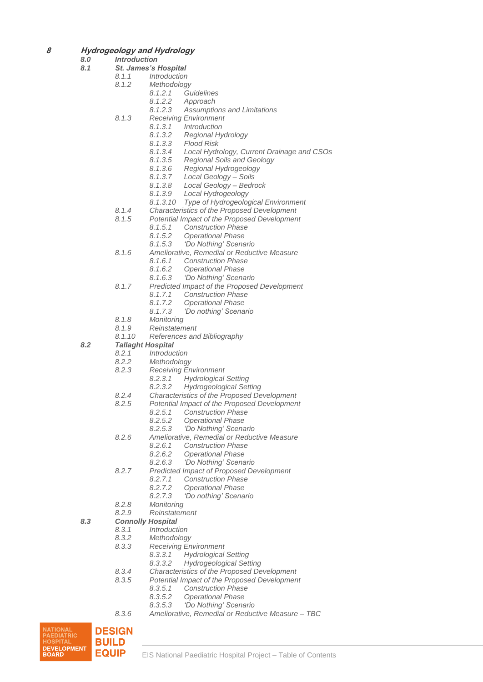- **8 Hydrogeology and Hydrology**
	- *8.0 Introduction*
	- *8.1 St. James's Hospital*
		- *8.1.1 Introduction*
		- *8.1.2 Methodology*
			- *8.1.2.1 Guidelines*
			- *8.1.2.2 Approach*
			- *8.1.2.3 Assumptions and Limitations*
		- *8.1.3 Receiving Environment*
			- *8.1.3.1 Introduction*
			- *8.1.3.2 Regional Hydrology*
			- *8.1.3.3 Flood Risk*
			- *8.1.3.4 Local Hydrology, Current Drainage and CSOs*
			- *8.1.3.5 Regional Soils and Geology*
			- *8.1.3.6 Regional Hydrogeology*
			- *8.1.3.7 Local Geology – Soils*
			- *8.1.3.8 Local Geology – Bedrock*
			- *8.1.3.9 Local Hydrogeology*
			- *8.1.3.10 Type of Hydrogeological Environment*
		- *8.1.4 Characteristics of the Proposed Development*
		- *8.1.5 Potential Impact of the Proposed Development*
			- *8.1.5.1 Construction Phase*
				- *8.1.5.2 Operational Phase*
			- *8.1.5.3 'Do Nothing' Scenario*
		- *8.1.6 Ameliorative, Remedial or Reductive Measure* 
			- *8.1.6.1 Construction Phase*
			- *8.1.6.2 Operational Phase*
			- *8.1.6.3 'Do Nothing' Scenario*
		- *8.1.7 Predicted Impact of the Proposed Development*
			-
			- *8.1.7.1 Construction Phase 8.1.7.2 Operational Phase*
			- *8.1.7.3 'Do nothing' Scenario*
		- *8.1.8 Monitoring*
		-
		- *8.1.9 Reinstatement 8.1.10 References and Bibliography*

- *8.2.1 Introduction*
- *8.2.2 Methodology*
- *8.2.3 Receiving Environment*
	- *8.2.3.1 Hydrological Setting*
	- *8.2.3.2 Hydrogeological Setting*
- *8.2.4 Characteristics of the Proposed Development*
- *8.2.5 Potential Impact of the Proposed Development*
	- *8.2.5.1 Construction Phase*
	- *8.2.5.2 Operational Phase*
	- *8.2.5.3 'Do Nothing' Scenario*
- *8.2.6 Ameliorative, Remedial or Reductive Measure*
	-
	- *8.2.6.1 Construction Phase 8.2.6.2 Operational Phase*
	- *8.2.6.3 'Do Nothing' Scenario*
- *8.2.7 Predicted Impact of Proposed Development*
	- *8.2.7.1 Construction Phase*
	- *8.2.7.2 Operational Phase*
	- *8.2.7.3 'Do nothing' Scenario*
- 
- *8.2.8 Monitoring 8.2.9 Reinstatement*

#### *8.3 Connolly Hospital*

- *8.3.1 Introduction*
- 
- *8.3.2 Methodology 8.3.3 Receiving Environment*
	- *8.3.3.1 Hydrological Setting*
	- *8.3.3.2 Hydrogeological Setting*
- *8.3.4 Characteristics of the Proposed Development*
- *8.3.5 Potential Impact of the Proposed Development*
	- *8.3.5.1 Construction Phase*
		- *8.3.5.2 Operational Phase*
	- *8.3.5.3 'Do Nothing' Scenario*
- *8.3.6 Ameliorative, Remedial or Reductive Measure – TBC*

NATIONAL **DESIGN PAEDIATRIC<br>HOSPITAL BUILD DEVELOPMENT EQUIP BOARD** 

- 
-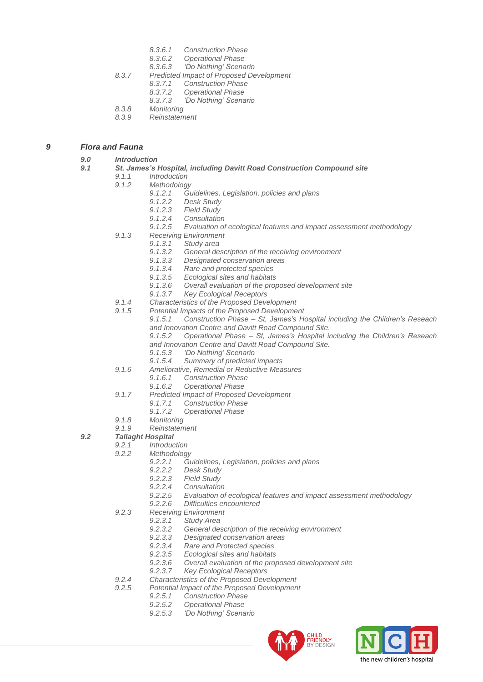- *8.3.6.1 Construction Phase*
- *8.3.6.2 Operational Phase*
- *8.3.6.3 'Do Nothing' Scenario*
- *8.3.7 Predicted Impact of Proposed Development*
	- *8.3.7.1 Construction Phase*
	- *8.3.7.2 Operational Phase*
	- *8.3.7.3 'Do Nothing' Scenario*
- *8.3.8 Monitoring*
- *8.3.9 Reinstatement*

## *9 Flora and Fauna*

## *9.0 Introduction*

#### *9.1 St. James's Hospital, including Davitt Road Construction Compound site*

- *9.1.1 Introduction*
- *9.1.2 Methodology*
	- *9.1.2.1 Guidelines, Legislation, policies and plans*
		- *9.1.2.2 Desk Study*
		- *9.1.2.3 Field Study*
		- *9.1.2.4 Consultation*
	- *9.1.2.5 Evaluation of ecological features and impact assessment methodology*
- *9.1.3 Receiving Environment*
	- *9.1.3.1 Study area*
	- *9.1.3.2 General description of the receiving environment*
	- *9.1.3.3 Designated conservation areas*
	- *9.1.3.4 Rare and protected species*
	- *9.1.3.5 Ecological sites and habitats*
	- *9.1.3.6 Overall evaluation of the proposed development site*
	- *9.1.3.7 Key Ecological Receptors*
- *9.1.4 Characteristics of the Proposed Development*
- *9.1.5 Potential Impacts of the Proposed Development*
	- *9.1.5.1 Construction Phase – St, James's Hospital including the Children's Reseach and Innovation Centre and Davitt Road Compound Site.*
		- *9.1.5.2 Operational Phase – St, James's Hospital including the Children's Reseach and Innovation Centre and Davitt Road Compound Site.*
		- *9.1.5.3 'Do Nothing' Scenario*
		- *9.1.5.4 Summary of predicted impacts*
- *9.1.6 Ameliorative, Remedial or Reductive Measures*
	- *9.1.6.1 Construction Phase*
		- *9.1.6.2 Operational Phase*
- *9.1.7 Predicted Impact of Proposed Development*
	- *9.1.7.1 Construction Phase*
	- *9.1.7.2 Operational Phase*
- *9.1.8 Monitoring*
- *9.1.9 Reinstatement*

## *9.2 Tallaght Hospital*

- *9.2.1 Introduction*
- *9.2.2 Methodology*
	- *9.2.2.1 Guidelines, Legislation, policies and plans*
	- *9.2.2.2 Desk Study*
	- *9.2.2.3 Field Study*
	- *9.2.2.4 Consultation*
	- *9.2.2.5 Evaluation of ecological features and impact assessment methodology*
	- *9.2.2.6 Difficulties encountered*
- *9.2.3 Receiving Environment*
	- *9.2.3.1 Study Area*
		- *9.2.3.2 General description of the receiving environment*
		- *9.2.3.3 Designated conservation areas*
		- *9.2.3.4 Rare and Protected species*
		- *9.2.3.5 Ecological sites and habitats*
		- *9.2.3.6 Overall evaluation of the proposed development site*
	- *9.2.3.7 Key Ecological Receptors*
- *9.2.4 Characteristics of the Proposed Development*
- *9.2.5 Potential Impact of the Proposed Development*
	- *9.2.5.1 Construction Phase*
	- *9.2.5.2 Operational Phase*
	- *9.2.5.3 'Do Nothing' Scenario*



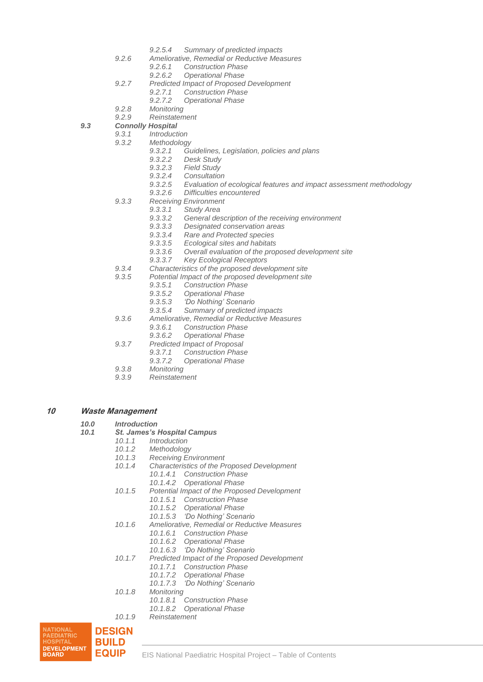- *9.2.5.4 Summary of predicted impacts*
- *9.2.6 Ameliorative, Remedial or Reductive Measures*
	- *9.2.6.1 Construction Phase*
	- *9.2.6.2 Operational Phase*
- *9.2.7 Predicted Impact of Proposed Development*
	- *9.2.7.1 Construction Phase*
	- *9.2.7.2 Operational Phase*
- *9.2.8 Monitoring*
- *9.2.9 Reinstatement*

*9.3 Connolly Hospital*

- *9.3.1 Introduction*
- *9.3.2 Methodology*
	- *9.3.2.1 Guidelines, Legislation, policies and plans*
	- *9.3.2.2 Desk Study*
	- *9.3.2.3 Field Study*
	- *9.3.2.4 Consultation*
	- *9.3.2.5 Evaluation of ecological features and impact assessment methodology*
	- *9.3.2.6 Difficulties encountered*
- *9.3.3 Receiving Environment*
	- *9.3.3.1 Study Area*
	- *9.3.3.2 General description of the receiving environment*
	- *9.3.3.3 Designated conservation areas*
	- *9.3.3.4 Rare and Protected species*
	- *9.3.3.5 Ecological sites and habitats*
	- *9.3.3.6 Overall evaluation of the proposed development site*
	- *9.3.3.7 Key Ecological Receptors*
- *9.3.4 Characteristics of the proposed development site*
- *9.3.5 Potential Impact of the proposed development site*
	- *9.3.5.1 Construction Phase*
		- *9.3.5.2 Operational Phase*
		- *9.3.5.3 'Do Nothing' Scenario*
		- *9.3.5.4 Summary of predicted impacts*
- *9.3.6 Ameliorative, Remedial or Reductive Measures*
	- *9.3.6.1 Construction Phase*
	- *9.3.6.2 Operational Phase*
- *9.3.7 Predicted Impact of Proposal*
	- *9.3.7.1 Construction Phase*
		- *9.3.7.2 Operational Phase*
- *9.3.8 Monitoring*
- *9.3.9 Reinstatement*

#### **10 Waste Management**

- *10.0 Introduction*
- *10.1 St. James's Hospital Campus*
	- *10.1.1 Introduction*
	- *10.1.2 Methodology*
	- *10.1.3 Receiving Environment*
	- *10.1.4 Characteristics of the Proposed Development*
		- *10.1.4.1 Construction Phase*
			- *10.1.4.2 Operational Phase*
	- *10.1.5 Potential Impact of the Proposed Development*
		- *10.1.5.1 Construction Phase*
		- *10.1.5.2 Operational Phase*
		- *10.1.5.3 'Do Nothing' Scenario*
	- *10.1.6 Ameliorative, Remedial or Reductive Measures*
		- *10.1.6.1 Construction Phase*
		- *10.1.6.2 Operational Phase*
		- *10.1.6.3 'Do Nothing' Scenario*
	- *10.1.7 Predicted Impact of the Proposed Development*
		- *10.1.7.1 Construction Phase*
		- *10.1.7.2 Operational Phase*
		- *10.1.7.3 'Do Nothing' Scenario*
	- *10.1.8 Monitoring*
		- *10.1.8.1 Construction Phase*
		- *10.1.8.2 Operational Phase*
	- *10.1.9 Reinstatement*

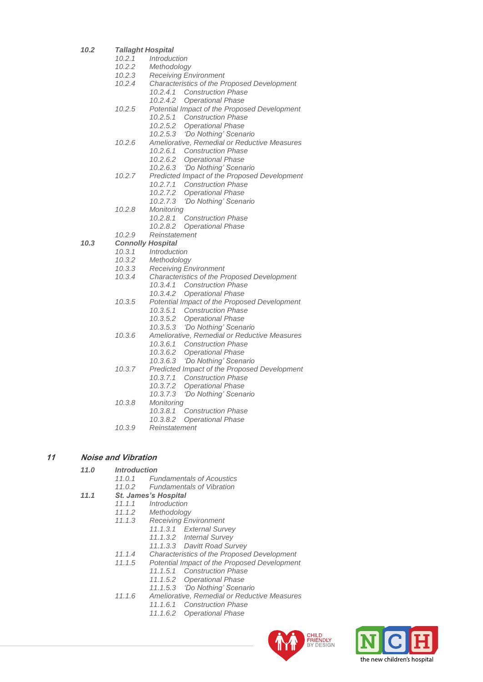- *10.2 Tallaght Hospital*
	- *10.2.1 Introduction*
		- *10.2.2 Methodology*
	- *10.2.3 Receiving Environment*
	- *10.2.4 Characteristics of the Proposed Development*
		- *10.2.4.1 Construction Phase*
			- *10.2.4.2 Operational Phase*
	- *10.2.5 Potential Impact of the Proposed Development*
		- *10.2.5.1 Construction Phase*
			- *10.2.5.2 Operational Phase*
			- *10.2.5.3 'Do Nothing' Scenario*
	- *10.2.6 Ameliorative, Remedial or Reductive Measures*
		- *10.2.6.1 Construction Phase*
		- *10.2.6.2 Operational Phase*
		- *10.2.6.3 'Do Nothing' Scenario*
	- *10.2.7 Predicted Impact of the Proposed Development*
		- *10.2.7.1 Construction Phase*
		- *10.2.7.2 Operational Phase*
		- *10.2.7.3 'Do Nothing' Scenario*
	- *10.2.8 Monitoring*
		- *10.2.8.1 Construction Phase*
		- *10.2.8.2 Operational Phase*
	- *10.2.9 Reinstatement*

#### *10.3 Connolly Hospital*

- *10.3.1 Introduction*
- *10.3.2 Methodology*
- *10.3.3 Receiving Environment*
- *10.3.4 Characteristics of the Proposed Development*
	- *10.3.4.1 Construction Phase*
	- *10.3.4.2 Operational Phase*
- *10.3.5 Potential Impact of the Proposed Development*
	-
	- *10.3.5.2 Operational Phase*
	-
- *10.3.6 Ameliorative, Remedial or Reductive Measures*
	- - *10.3.6.2 Operational Phase*
		- *10.3.6.3 'Do Nothing' Scenario*
- *10.3.7 Predicted Impact of the Proposed Development*
	- *10.3.7.1 Construction Phase*
	- *10.3.7.2 Operational Phase*
	- *10.3.7.3 'Do Nothing' Scenario*
- *10.3.8 Monitoring*
	- *10.3.8.1 Construction Phase*
	- *10.3.8.2 Operational Phase*
- *10.3.9 Reinstatement*

## **11 Noise and Vibration**

## *11.0 Introduction*

- *11.0.1 Fundamentals of Acoustics*
- *11.0.2 Fundamentals of Vibration*
- *11.1 St. James's Hospital*
	- *11.1.1 Introduction*
		- *11.1.2 Methodology*
		- *11.1.3 Receiving Environment*
			- *11.1.3.1 External Survey* 
				- *11.1.3.2 Internal Survey*
				- *11.1.3.3 Davitt Road Survey*
		- *11.1.4 Characteristics of the Proposed Development*
		- *11.1.5 Potential Impact of the Proposed Development*
			- *11.1.5.1 Construction Phase*
			- *11.1.5.2 Operational Phase*
			- *11.1.5.3 'Do Nothing' Scenario*
		- *11.1.6 Ameliorative, Remedial or Reductive Measures*
			- *11.1.6.1 Construction Phase*
				- *11.1.6.2 Operational Phase*





- - *10.3.5.1 Construction Phase*
		-
	- *10.3.5.3 'Do Nothing' Scenario*
	- - *10.3.6.1 Construction Phase*
			-
			-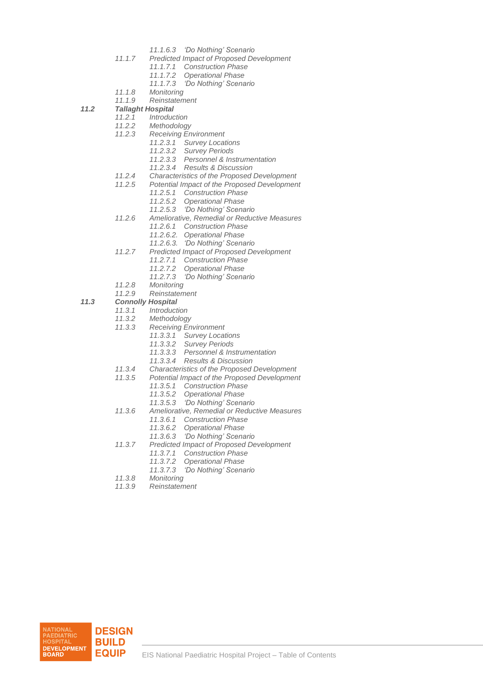- *11.1.6.3 'Do Nothing' Scenario*
- *11.1.7 Predicted Impact of Proposed Development*
	- *11.1.7.1 Construction Phase*
	- *11.1.7.2 Operational Phase*
	- *11.1.7.3 'Do Nothing' Scenario*
- *11.1.8 Monitoring*
- *11.1.9 Reinstatement*
- *11.2 Tallaght Hospital*
	- *11.2.1 Introduction*
	- *11.2.2 Methodology*
	- *11.2.3 Receiving Environment*
		- *11.2.3.1 Survey Locations*
		- *11.2.3.2 Survey Periods*
		- *11.2.3.3 Personnel & Instrumentation*
		- *11.2.3.4 Results & Discussion*
	- *11.2.4 Characteristics of the Proposed Development*
	- *11.2.5 Potential Impact of the Proposed Development*
		- *11.2.5.1 Construction Phase*
		- *11.2.5.2 Operational Phase*
		- *11.2.5.3 'Do Nothing' Scenario*
	- *11.2.6 Ameliorative, Remedial or Reductive Measures*
		- *11.2.6.1 Construction Phase*
		- *11.2.6.2. Operational Phase*
		- *11.2.6.3. 'Do Nothing' Scenario*
	- *11.2.7 Predicted Impact of Proposed Development*
		- *11.2.7.1 Construction Phase*
		- *11.2.7.2 Operational Phase*
		- *11.2.7.3 'Do Nothing' Scenario*
		-
	- *11.2.8 Monitoring 11.2.9 Reinstatement*
- *11.3 Connolly Hospital*
	- *11.3.1 Introduction*
		-
		- *11.3.2 Methodology 11.3.3 Receiving Environment*
			- *11.3.3.1 Survey Locations*
				- *11.3.3.2 Survey Periods*
				- *11.3.3.3 Personnel & Instrumentation*
				- *11.3.3.4 Results & Discussion*
		- *11.3.4 Characteristics of the Proposed Development*
		- *11.3.5 Potential Impact of the Proposed Development*
			- *11.3.5.1 Construction Phase*
			- *11.3.5.2 Operational Phase*
			- *11.3.5.3 'Do Nothing' Scenario*
		- *11.3.6 Ameliorative, Remedial or Reductive Measures*
			- *11.3.6.1 Construction Phase*
			- *11.3.6.2 Operational Phase*
			- *11.3.6.3 'Do Nothing' Scenario*
		- *11.3.7 Predicted Impact of Proposed Development*
			- *11.3.7.1 Construction Phase*
			- *11.3.7.2 Operational Phase*
			- *11.3.7.3 'Do Nothing' Scenario*
		-
		- *11.3.8 Monitoring 11.3.9 Reinstatement*

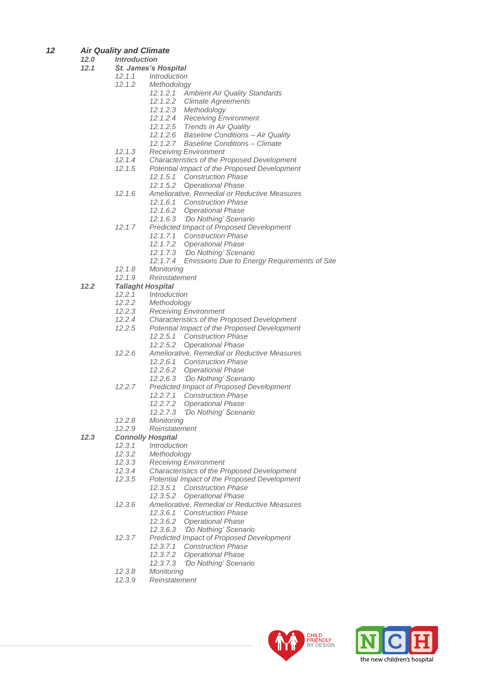- *12 Air Quality and Climate*
	- *12.0 Introduction*
	- *12.1 St. James's Hospital*
		- *12.1.1 Introduction*
			- *12.1.2 Methodology*
				- *12.1.2.1 Ambient Air Quality Standards*
				- *12.1.2.2 Climate Agreements*
				- *12.1.2.3 Methodology*
				- *12.1.2.4 Receiving Environment*
				- *12.1.2.5 Trends in Air Quality*
				- *12.1.2.6 Baseline Conditions – Air Quality*
				- *12.1.2.7 Baseline Conditions – Climate*
			- *12.1.3 Receiving Environment*
			- *12.1.4 Characteristics of the Proposed Development*
			- *12.1.5 Potential Impact of the Proposed Development*
				- *12.1.5.1 Construction Phase*
					- *12.1.5.2 Operational Phase*
			- *12.1.6 Ameliorative, Remedial or Reductive Measures*
				- *12.1.6.1 Construction Phase*
				- *12.1.6.2 Operational Phase*
				- *12.1.6.3 'Do Nothing' Scenario*
			- *12.1.7 Predicted Impact of Proposed Development*
				- *12.1.7.1 Construction Phase*
				- *12.1.7.2 Operational Phase*
				- *12.1.7.3 'Do Nothing' Scenario*
				- *12.1.7.4 Emissions Due to Energy Requirements of Site*
			- *12.1.8 Monitoring*
			- *12.1.9 Reinstatement*

- 
- *12.2.1 Introduction 12.2.2 Methodology*
- *12.2.3 Receiving Environment*
- 
- *12.2.4 Characteristics of the Proposed Development 12.2.5 Potential Impact of the Proposed Development*
	- *12.2.5.1 Construction Phase*
		- *12.2.5.2 Operational Phase*
- *12.2.6 Ameliorative, Remedial or Reductive Measures*
	- *12.2.6.1 Construction Phase*
		- *12.2.6.2 Operational Phase*
		- *12.2.6.3 'Do Nothing' Scenario*
- *12.2.7 Predicted Impact of Proposed Development*
	- *12.2.7.1 Construction Phase*
	- *12.2.7.2 Operational Phase*
	- *12.2.7.3 'Do Nothing' Scenario*
- *12.2.8 Monitoring*
- *12.2.9 Reinstatement*
- *12.3 Connolly Hospital*
	- *12.3.1 Introduction*
	-
	- *12.3.2 Methodology 12.3.3 Receiving Environment*
	- *12.3.4 Characteristics of the Proposed Development*
	- *12.3.5 Potential Impact of the Proposed Development*
		- *12.3.5.1 Construction Phase*
			- *12.3.5.2 Operational Phase*
	- *12.3.6 Ameliorative, Remedial or Reductive Measures*
		- *12.3.6.1 Construction Phase*
			- *12.3.6.2 Operational Phase*
		- *12.3.6.3 'Do Nothing' Scenario*
	- *12.3.7 Predicted Impact of Proposed Development*
		- *12.3.7.1 Construction Phase*
		- *12.3.7.2 Operational Phase*
		- *12.3.7.3 'Do Nothing' Scenario*
	- *12.3.8 Monitoring*
	- *12.3.9 Reinstatement*



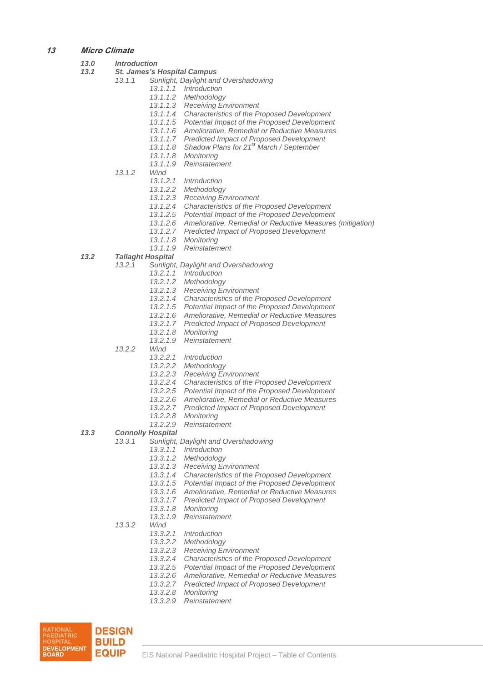## **13 Micro Climate**

| 13.0 |        | <b>Introduction</b>                |                                                                                                               |  |
|------|--------|------------------------------------|---------------------------------------------------------------------------------------------------------------|--|
| 13.1 |        | <b>St. James's Hospital Campus</b> |                                                                                                               |  |
|      | 13.1.1 |                                    | Sunlight, Daylight and Overshadowing                                                                          |  |
|      |        |                                    | 13.1.1.1 Introduction                                                                                         |  |
|      |        |                                    | 13.1.1.2 Methodology                                                                                          |  |
|      |        |                                    | 13.1.1.3 Receiving Environment                                                                                |  |
|      |        |                                    | 13.1.1.4 Characteristics of the Proposed Development                                                          |  |
|      |        |                                    | 13.1.1.5 Potential Impact of the Proposed Development                                                         |  |
|      |        |                                    | 13.1.1.6 Ameliorative, Remedial or Reductive Measures                                                         |  |
|      |        |                                    | 13.1.1.7 Predicted Impact of Proposed Development                                                             |  |
|      |        |                                    | 13.1.1.8 Shadow Plans for 21 <sup>st</sup> March / September                                                  |  |
|      |        |                                    | 13.1.1.8 Monitoring                                                                                           |  |
|      |        |                                    | 13.1.1.9 Reinstatement                                                                                        |  |
|      | 13.1.2 | Wind                               |                                                                                                               |  |
|      |        |                                    | 13.1.2.1 Introduction                                                                                         |  |
|      |        |                                    | 13.1.2.2 Methodology                                                                                          |  |
|      |        |                                    | 13.1.2.3 Receiving Environment                                                                                |  |
|      |        |                                    | 13.1.2.4 Characteristics of the Proposed Development<br>13.1.2.5 Potential Impact of the Proposed Development |  |
|      |        |                                    | 13.1.2.6 Ameliorative, Remedial or Reductive Measures (mitigation)                                            |  |
|      |        |                                    | 13.1.2.7 Predicted Impact of Proposed Development                                                             |  |
|      |        | 13.1.1.8                           | Monitoring                                                                                                    |  |
|      |        | 13.1.1.9                           | Reinstatement                                                                                                 |  |
| 13.2 |        | <b>Tallaght Hospital</b>           |                                                                                                               |  |
|      | 13.2.1 |                                    | Sunlight, Daylight and Overshadowing                                                                          |  |
|      |        |                                    | 13.2.1.1 Introduction                                                                                         |  |
|      |        |                                    | 13.2.1.2 Methodology                                                                                          |  |
|      |        |                                    | 13.2.1.3 Receiving Environment                                                                                |  |
|      |        |                                    | 13.2.1.4 Characteristics of the Proposed Development                                                          |  |
|      |        |                                    | 13.2.1.5 Potential Impact of the Proposed Development                                                         |  |
|      |        |                                    | 13.2.1.6 Ameliorative, Remedial or Reductive Measures                                                         |  |
|      |        |                                    | 13.2.1.7 Predicted Impact of Proposed Development                                                             |  |
|      |        |                                    | 13.2.1.8 Monitoring                                                                                           |  |
|      |        | 13.2.1.9                           | Reinstatement                                                                                                 |  |
|      | 13.2.2 | Wind                               |                                                                                                               |  |
|      |        |                                    | 13.2.2.1 Introduction                                                                                         |  |
|      |        | 13.2.2.2                           | Methodology                                                                                                   |  |
|      |        |                                    | 13.2.2.3 Receiving Environment                                                                                |  |
|      |        |                                    | 13.2.2.4 Characteristics of the Proposed Development                                                          |  |
|      |        |                                    | 13.2.2.5 Potential Impact of the Proposed Development                                                         |  |
|      |        | 13.2.2.6                           | Ameliorative, Remedial or Reductive Measures                                                                  |  |
|      |        | 13.2.2.8                           | 13.2.2.7 Predicted Impact of Proposed Development<br>Monitoring                                               |  |
|      |        | 13.2.2.9                           | Reinstatement                                                                                                 |  |
| 13.3 |        | <b>Connolly Hospital</b>           |                                                                                                               |  |
|      | 13.3.1 |                                    | Sunlight, Daylight and Overshadowing                                                                          |  |
|      |        | 13.3.1.1                           | <i>Introduction</i>                                                                                           |  |
|      |        | 13.3.1.2                           | Methodology                                                                                                   |  |
|      |        |                                    | 13.3.1.3 Receiving Environment                                                                                |  |
|      |        |                                    | 13.3.1.4 Characteristics of the Proposed Development                                                          |  |
|      |        | 13.3.1.5                           | Potential Impact of the Proposed Development                                                                  |  |
|      |        | 13.3.1.6                           | Ameliorative, Remedial or Reductive Measures                                                                  |  |
|      |        |                                    | 13.3.1.7 Predicted Impact of Proposed Development                                                             |  |
|      |        | 13.3.1.8                           | Monitorina                                                                                                    |  |
|      |        | 13.3.1.9                           | Reinstatement                                                                                                 |  |
|      | 13.3.2 | Wind                               |                                                                                                               |  |
|      |        | 13.3.2.1                           | <i>Introduction</i>                                                                                           |  |
|      |        | 13.3.2.2                           | Methodology                                                                                                   |  |
|      |        | 13.3.2.3                           | <b>Receiving Environment</b>                                                                                  |  |
|      |        | 13.3.2.4                           | Characteristics of the Proposed Development                                                                   |  |
|      |        | 13.3.2.5                           | Potential Impact of the Proposed Development                                                                  |  |
|      |        | 13.3.2.6                           | Ameliorative, Remedial or Reductive Measures                                                                  |  |
|      |        | 13.3.2.7                           | <b>Predicted Impact of Proposed Development</b>                                                               |  |
|      |        | 13.3.2.8                           | Monitoring<br>13.3.2.9 Reinstatement                                                                          |  |
|      |        |                                    |                                                                                                               |  |

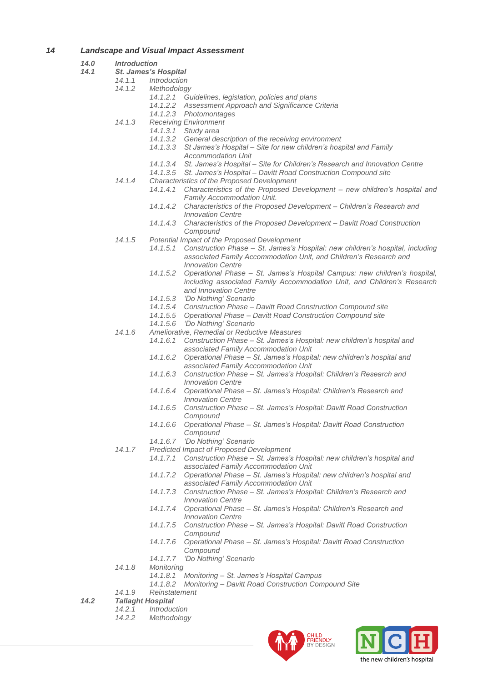## *14 Landscape and Visual Impact Assessment*

#### *14.0 Introduction*

- *14.1 St. James's Hospital*
	- *14.1.1 Introduction*
		- *14.1.2 Methodology*
			- *14.1.2.1 Guidelines, legislation, policies and plans*
			- *14.1.2.2 Assessment Approach and Significance Criteria*
			- *14.1.2.3 Photomontages*
		- *14.1.3 Receiving Environment*
			- *14.1.3.1 Study area*
			- *14.1.3.2 General description of the receiving environment*
			- *14.1.3.3 St James's Hospital – Site for new children's hospital and Family Accommodation Unit*
			- *14.1.3.4 St. James's Hospital – Site for Children's Research and Innovation Centre*
			- *14.1.3.5 St. James's Hospital – Davitt Road Construction Compound site*
		- *14.1.4 Characteristics of the Proposed Development*
			- *14.1.4.1 Characteristics of the Proposed Development – new children's hospital and Family Accommodation Unit.*
				- *14.1.4.2 Characteristics of the Proposed Development – Children's Research and Innovation Centre*
				- *14.1.4.3 Characteristics of the Proposed Development – Davitt Road Construction Compound*
		- *14.1.5 Potential Impact of the Proposed Development*
			- *14.1.5.1 Construction Phase – St. James's Hospital: new children's hospital, including associated Family Accommodation Unit, and Children's Research and Innovation Centre*
			- *14.1.5.2 Operational Phase – St. James's Hospital Campus: new children's hospital, including associated Family Accommodation Unit, and Children's Research and Innovation Centre*
			- *14.1.5.3 'Do Nothing' Scenario*
			- *14.1.5.4 Construction Phase – Davitt Road Construction Compound site*
			- *14.1.5.5 Operational Phase – Davitt Road Construction Compound site*
			- *14.1.5.6 'Do Nothing' Scenario*
		- *14.1.6 Ameliorative, Remedial or Reductive Measures*
			- *14.1.6.1 Construction Phase – St. James's Hospital: new children's hospital and associated Family Accommodation Unit*
			- *14.1.6.2 Operational Phase – St. James's Hospital: new children's hospital and associated Family Accommodation Unit*
			- *14.1.6.3 Construction Phase – St. James's Hospital: Children's Research and Innovation Centre*
			- *14.1.6.4 Operational Phase – St. James's Hospital: Children's Research and Innovation Centre*
			- *14.1.6.5 Construction Phase – St. James's Hospital: Davitt Road Construction Compound*
			- *14.1.6.6 Operational Phase – St. James's Hospital: Davitt Road Construction Compound*
			- *14.1.6.7 'Do Nothing' Scenario*
		- *14.1.7 Predicted Impact of Proposed Development*
			- *14.1.7.1 Construction Phase – St. James's Hospital: new children's hospital and associated Family Accommodation Unit*
			- *14.1.7.2 Operational Phase – St. James's Hospital: new children's hospital and associated Family Accommodation Unit*
			- *14.1.7.3 Construction Phase – St. James's Hospital: Children's Research and Innovation Centre*
			- *14.1.7.4 Operational Phase – St. James's Hospital: Children's Research and Innovation Centre*
			- *14.1.7.5 Construction Phase – St. James's Hospital: Davitt Road Construction Compound*
			- *14.1.7.6 Operational Phase – St. James's Hospital: Davitt Road Construction Compound*
			- *14.1.7.7 'Do Nothing' Scenario*
		- *14.1.8 Monitoring*
			- *14.1.8.1 Monitoring – St. James's Hospital Campus*
			- *14.1.8.2 Monitoring – Davitt Road Construction Compound Site*
		- *14.1.9 Reinstatement*

## *14.2 Tallaght Hospital*

- *14.2.1 Introduction*
- *14.2.2 Methodology*



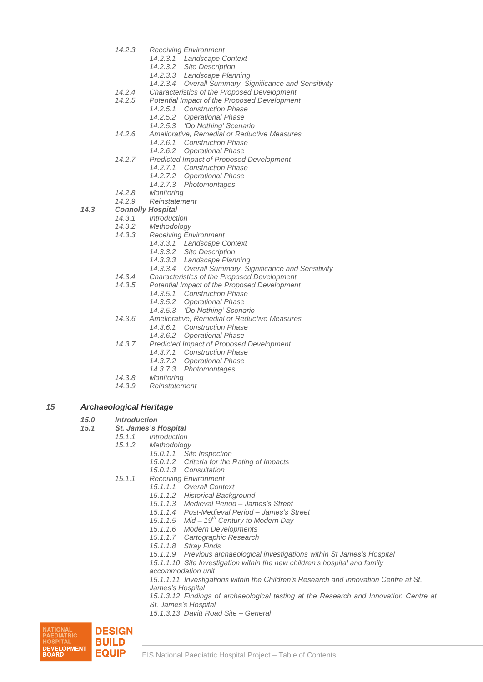- *14.2.3 Receiving Environment*
	- *14.2.3.1 Landscape Context*
	- *14.2.3.2 Site Description*
	- *14.2.3.3 Landscape Planning*
	- *14.2.3.4 Overall Summary, Significance and Sensitivity*
- *14.2.4 Characteristics of the Proposed Development*
	- *14.2.5 Potential Impact of the Proposed Development*
		- *14.2.5.1 Construction Phase*
			- *14.2.5.2 Operational Phase*
			- *14.2.5.3 'Do Nothing' Scenario*
- *14.2.6 Ameliorative, Remedial or Reductive Measures*
	- *14.2.6.1 Construction Phase*
		- *14.2.6.2 Operational Phase*
- *14.2.7 Predicted Impact of Proposed Development*
	- *14.2.7.1 Construction Phase*
	- *14.2.7.2 Operational Phase*
	- *14.2.7.3 Photomontages*
- *14.2.8 Monitoring*
- *14.2.9 Reinstatement*

#### *14.3 Connolly Hospital*

- *14.3.1 Introduction*
- *14.3.2 Methodology*
	- *14.3.3 Receiving Environment*
		- *14.3.3.1 Landscape Context*
		- *14.3.3.2 Site Description*
			- *14.3.3.3 Landscape Planning*
		- *14.3.3.4 Overall Summary, Significance and Sensitivity*
- 
- *14.3.4 Characteristics of the Proposed Development 14.3.5 Potential Impact of the Proposed Development*
	- *14.3.5.1 Construction Phase*
		- *14.3.5.2 Operational Phase*
		- *14.3.5.3 'Do Nothing' Scenario*
- *14.3.6 Ameliorative, Remedial or Reductive Measures*
	- *14.3.6.1 Construction Phase*
	- *14.3.6.2 Operational Phase*
- *14.3.7 Predicted Impact of Proposed Development*
	- *14.3.7.1 Construction Phase*
	- *14.3.7.2 Operational Phase*
	- *14.3.7.3 Photomontages*
- *14.3.8 Monitoring*
- *14.3.9 Reinstatement*

#### *15 Archaeological Heritage*

- *15.0 Introduction*
- *15.1 St. James's Hospital*
	- *15.1.1 Introduction*
	- *15.1.2 Methodology*
		- *15.0.1.1 Site Inspection*
		- *15.0.1.2 Criteria for the Rating of Impacts*
		- *15.0.1.3 Consultation*
	- *15.1.1 Receiving Environment*
		- *15.1.1.1 Overall Context*
			- *15.1.1.2 Historical Background*
			- *15.1.1.3 Medieval Period – James's Street*
			- *15.1.1.4 Post-Medieval Period – James's Street*
			- *15.1.1.5 Mid – 19th Century to Modern Day*
			- *15.1.1.6 Modern Developments*
			- *15.1.1.7 Cartographic Research*
			- *15.1.1.8 Stray Finds*
			- *15.1.1.9 Previous archaeological investigations within St James's Hospital*
			- *15.1.1.10 Site Investigation within the new children's hospital and family*
			- *accommodation unit*
			- *15.1.1.11 Investigations within the Children's Research and Innovation Centre at St.*
			- *James's Hospital*
			- *15.1.3.12 Findings of archaeological testing at the Research and Innovation Centre at St. James's Hospital*
			- *15.1.3.13 Davitt Road Site – General*

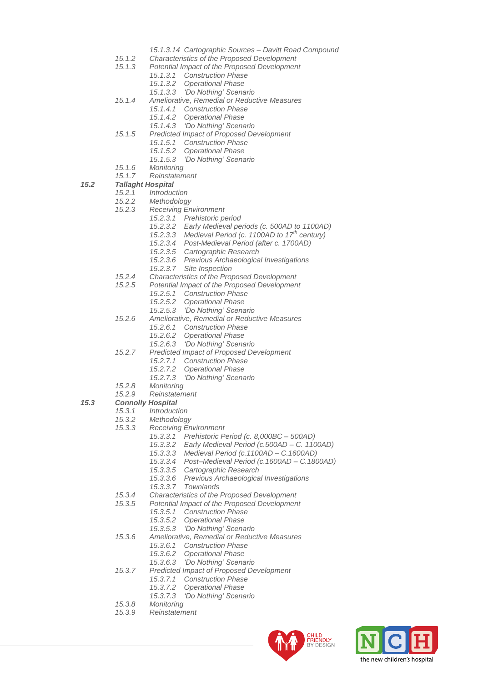- *15.1.3.14 Cartographic Sources – Davitt Road Compound*
- *15.1.2 Characteristics of the Proposed Development*
	- *15.1.3 Potential Impact of the Proposed Development*
		- *15.1.3.1 Construction Phase*
		- *15.1.3.2 Operational Phase*
		- *15.1.3.3 'Do Nothing' Scenario*
- *15.1.4 Ameliorative, Remedial or Reductive Measures*
	- *15.1.4.1 Construction Phase*
	- *15.1.4.2 Operational Phase*
	- *15.1.4.3 'Do Nothing' Scenario*
- *15.1.5 Predicted Impact of Proposed Development*
	- *15.1.5.1 Construction Phase*
	- *15.1.5.2 Operational Phase*
	- *15.1.5.3 'Do Nothing' Scenario*
- *15.1.6 Monitoring*
- *15.1.7 Reinstatement*

- *15.2.1 Introduction*
- *15.2.2 Methodology*
- *15.2.3 Receiving Environment*
	- *15.2.3.1 Prehistoric period*
		- *15.2.3.2 Early Medieval periods (c. 500AD to 1100AD)*
		- *15.2.3.3 Medieval Period (c. 1100AD to 17th century)*
		- *15.2.3.4 Post-Medieval Period (after c. 1700AD)*
		- *15.2.3.5 Cartographic Research*
		- *15.2.3.6 Previous Archaeological Investigations*
		- *15.2.3.7 Site Inspection*
- *15.2.4 Characteristics of the Proposed Development*
- *15.2.5 Potential Impact of the Proposed Development*
	- *15.2.5.1 Construction Phase*
	- *15.2.5.2 Operational Phase*
	- *15.2.5.3 'Do Nothing' Scenario*
- *15.2.6 Ameliorative, Remedial or Reductive Measures*
	- *15.2.6.1 Construction Phase*
	- *15.2.6.2 Operational Phase*
	- *15.2.6.3 'Do Nothing' Scenario*
- *15.2.7 Predicted Impact of Proposed Development*
	- *15.2.7.1 Construction Phase*
		- *15.2.7.2 Operational Phase*
		- *15.2.7.3 'Do Nothing' Scenario*
- *15.2.8 Monitoring*
- *15.2.9 Reinstatement*

## *15.3 Connolly Hospital*

- *15.3.1 Introduction*
	-
	- *15.3.2 Methodology*
	- *15.3.3 Receiving Environment*
		- *15.3.3.1 Prehistoric Period (c. 8,000BC – 500AD)*
		- *15.3.3.2 Early Medieval Period (c.500AD – C. 1100AD)*
		- *15.3.3.3 Medieval Period (c.1100AD – C.1600AD)*
		- *15.3.3.4 Post–Medieval Period (c.1600AD – C.1800AD)*
		- *15.3.3.5 Cartographic Research*
		- *15.3.3.6 Previous Archaeological Investigations*
		- *15.3.3.7 Townlands*
	- *15.3.4 Characteristics of the Proposed Development*
	- *15.3.5 Potential Impact of the Proposed Development*
		- *15.3.5.1 Construction Phase*
			- *15.3.5.2 Operational Phase*
			- *15.3.5.3 'Do Nothing' Scenario*
	- *15.3.6 Ameliorative, Remedial or Reductive Measures*
		- *15.3.6.1 Construction Phase*
		- *15.3.6.2 Operational Phase*
		- *15.3.6.3 'Do Nothing' Scenario*
	- *15.3.7 Predicted Impact of Proposed Development* 
		- *15.3.7.1 Construction Phase*
		- *15.3.7.2 Operational Phase*
		- *15.3.7.3 'Do Nothing' Scenario*
	- *15.3.8 Monitoring*
	- *15.3.9 Reinstatement*



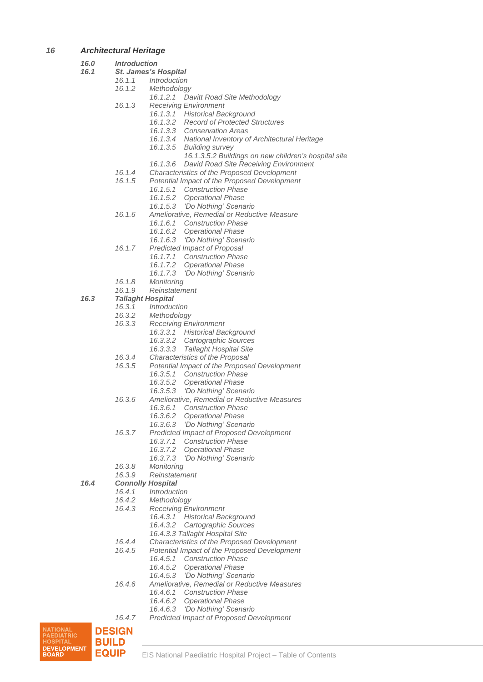## *16 Architectural Heritage*

#### *16.0 Introduction*

- *16.1 St. James's Hospital*
	- *16.1.1 Introduction*
		- *16.1.2 Methodology*
			- *16.1.2.1 Davitt Road Site Methodology*
		- *16.1.3 Receiving Environment*
			- *16.1.3.1 Historical Background*
				- *16.1.3.2 Record of Protected Structures*
				- *16.1.3.3 Conservation Areas*
				- *16.1.3.4 National Inventory of Architectural Heritage*
				- *16.1.3.5 Building survey*
					- *16.1.3.5.2 Buildings on new children's hospital site*
				- *16.1.3.6 David Road Site Receiving Environment*
		- *16.1.4 Characteristics of the Proposed Development*
		- *16.1.5 Potential Impact of the Proposed Development*
			- *16.1.5.1 Construction Phase*
			- *16.1.5.2 Operational Phase*
			- *16.1.5.3 'Do Nothing' Scenario*
		- *16.1.6 Ameliorative, Remedial or Reductive Measure*
			- *16.1.6.1 Construction Phase*
			- *16.1.6.2 Operational Phase*
			- *16.1.6.3 'Do Nothing' Scenario*
		- *16.1.7 Predicted Impact of Proposal*
			- *16.1.7.1 Construction Phase*
			- *16.1.7.2 Operational Phase*
			- *16.1.7.3 'Do Nothing' Scenario*
		- *16.1.8 Monitoring*
		- *16.1.9 Reinstatement*

#### *16.3 Tallaght Hospital*

- *16.3.1 Introduction*
- *16.3.2 Methodology*
- *16.3.3 Receiving Environment*
	- *16.3.3.1 Historical Background*
		- *16.3.3.2 Cartographic Sources*
		- *16.3.3.3 Tallaght Hospital Site*
- *16.3.4 Characteristics of the Proposal*
- *16.3.5 Potential Impact of the Proposed Development*
	- *16.3.5.1 Construction Phase*
		- *16.3.5.2 Operational Phase*
		- *16.3.5.3 'Do Nothing' Scenario*
- *16.3.6 Ameliorative, Remedial or Reductive Measures*
	- *16.3.6.1 Construction Phase*
	- *16.3.6.2 Operational Phase*
	- *16.3.6.3 'Do Nothing' Scenario*
- *16.3.7 Predicted Impact of Proposed Development*
	- *16.3.7.1 Construction Phase*
	- *16.3.7.2 Operational Phase*
	- *16.3.7.3 'Do Nothing' Scenario*
- *16.3.8 Monitoring*
- *16.3.9 Reinstatement*

## *16.4 Connolly Hospital*

- *16.4.1 Introduction*
- *16.4.2 Methodology*
- *16.4.3 Receiving Environment*
	- *16.4.3.1 Historical Background*
		- *16.4.3.2 Cartographic Sources*
		- *16.4.3.3 Tallaght Hospital Site*
- *16.4.4 Characteristics of the Proposed Development*
- *16.4.5 Potential Impact of the Proposed Development*
	- *16.4.5.1 Construction Phase*
	- *16.4.5.2 Operational Phase*
		- *16.4.5.3 'Do Nothing' Scenario*
- *16.4.6 Ameliorative, Remedial or Reductive Measures*
	- *16.4.6.1 Construction Phase*
	- *16.4.6.2 Operational Phase*
	- *16.4.6.3 'Do Nothing' Scenario*
- *16.4.7 Predicted Impact of Proposed Development*

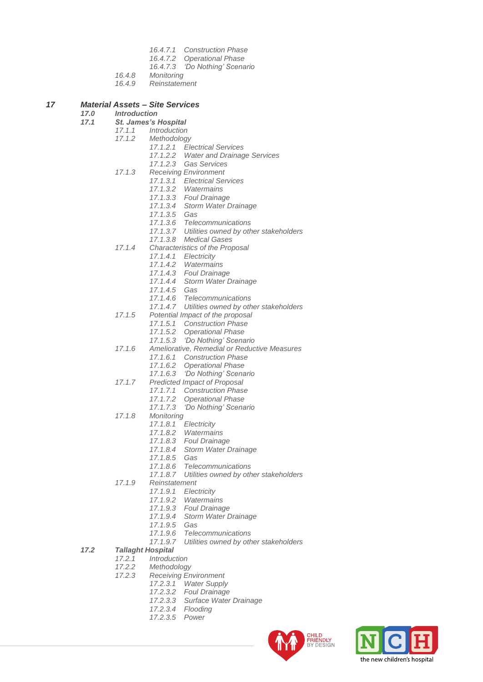- *16.4.7.1 Construction Phase*
- *16.4.7.2 Operational Phase*
- *16.4.7.3 'Do Nothing' Scenario*
- *16.4.8 Monitoring*
- *16.4.9 Reinstatement*

## *17 Material Assets – Site Services*

#### *17.0 Introduction*

- *17.1 St. James's Hospital*
	- *17.1.1 Introduction*
	- *17.1.2 Methodology*
		- *17.1.2.1 Electrical Services*
			- *17.1.2.2 Water and Drainage Services*
				- *17.1.2.3 Gas Services*
	- *17.1.3 Receiving Environment*
		- *17.1.3.1 Electrical Services*
			- *17.1.3.2 Watermains*
			- *17.1.3.3 Foul Drainage*
			- *17.1.3.4 Storm Water Drainage*
		- *17.1.3.5 Gas*
		- *17.1.3.6 Telecommunications*
		- *17.1.3.7 Utilities owned by other stakeholders*
		- *17.1.3.8 Medical Gases*
	- *17.1.4 Characteristics of the Proposal*
		- *17.1.4.1 Electricity*
		- *17.1.4.2 Watermains*
		- *17.1.4.3 Foul Drainage*
		- *17.1.4.4 Storm Water Drainage*
		- *17.1.4.5 Gas*
		- *17.1.4.6 Telecommunications*
		- *17.1.4.7 Utilities owned by other stakeholders*
	- *17.1.5 Potential Impact of the proposal*
		- *17.1.5.1 Construction Phase*
		- *17.1.5.2 Operational Phase*
		- *17.1.5.3 'Do Nothing' Scenario*
	- *17.1.6 Ameliorative, Remedial or Reductive Measures*
		- *17.1.6.1 Construction Phase*
		- *17.1.6.2 Operational Phase*
		- *17.1.6.3 'Do Nothing' Scenario*
	- *17.1.7 Predicted Impact of Proposal*
		- *17.1.7.1 Construction Phase*
			- *17.1.7.2 Operational Phase*
			- *17.1.7.3 'Do Nothing' Scenario*
	- *17.1.8 Monitoring*
		- *17.1.8.1 Electricity*
		- *17.1.8.2 Watermains*
		- *17.1.8.3 Foul Drainage*
		- *17.1.8.4 Storm Water Drainage*
		- *17.1.8.5 Gas*
		- *17.1.8.6 Telecommunications*
		- *17.1.8.7 Utilities owned by other stakeholders*
	- *17.1.9 Reinstatement*
		- *17.1.9.1 Electricity*
		-
		- *17.1.9.2 Watermains 17.1.9.3 Foul Drainage*
		- *17.1.9.4 Storm Water Drainage*
		- *17.1.9.5 Gas*
		-
		- *17.1.9.6 Telecommunications 17.1.9.7 Utilities owned by other stakeholders*
- *17.2 Tallaght Hospital*
	-
	- *17.2.1 Introduction 17.2.2 Methodology*
	- *17.2.3 Receiving Environment*
		- *17.2.3.1 Water Supply*
		- *17.2.3.2 Foul Drainage*
		- *17.2.3.3 Surface Water Drainage*
		- *17.2.3.4 Flooding*
		- *17.2.3.5 Power*



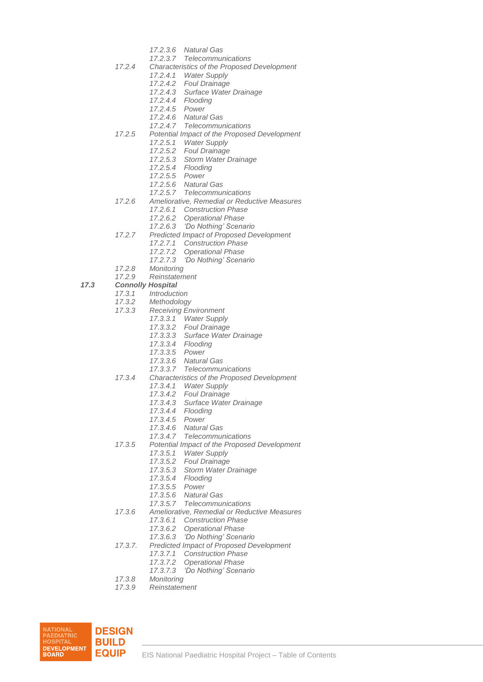- *17.2.3.6 Natural Gas*
- *17.2.3.7 Telecommunications*
- *17.2.4 Characteristics of the Proposed Development*
	- *17.2.4.1 Water Supply*
	- *17.2.4.2 Foul Drainage*
	- *17.2.4.3 Surface Water Drainage*
	- *17.2.4.4 Flooding*
	- *17.2.4.5 Power*
	- *17.2.4.6 Natural Gas*
	- *17.2.4.7 Telecommunications*
- *17.2.5 Potential Impact of the Proposed Development*
	- *17.2.5.1 Water Supply*
	- *17.2.5.2 Foul Drainage*
	- *17.2.5.3 Storm Water Drainage*
	- *17.2.5.4 Flooding*
	- *17.2.5.5 Power*
	- *17.2.5.6 Natural Gas*
	- *17.2.5.7 Telecommunications*
- *17.2.6 Ameliorative, Remedial or Reductive Measures*
	- *17.2.6.1 Construction Phase*
	- *17.2.6.2 Operational Phase*
	- *17.2.6.3 'Do Nothing' Scenario*
- *17.2.7 Predicted Impact of Proposed Development*
	- *17.2.7.1 Construction Phase*
	- *17.2.7.2 Operational Phase*
	- *17.2.7.3 'Do Nothing' Scenario*
- *17.2.8 Monitoring*
- *17.2.9 Reinstatement*
- *17.3 Connolly Hospital*
	- *17.3.1 Introduction*
	- *17.3.2 Methodology*
	- *17.3.3 Receiving Environment*
		- *17.3.3.1 Water Supply*
			- *17.3.3.2 Foul Drainage*
		- *17.3.3.3 Surface Water Drainage*
		- *17.3.3.4 Flooding*
		- *17.3.3.5 Power*
		- *17.3.3.6 Natural Gas*
		- *17.3.3.7 Telecommunications*
	- *17.3.4 Characteristics of the Proposed Development*
		- *17.3.4.1 Water Supply*
		- *17.3.4.2 Foul Drainage*
		- *17.3.4.3 Surface Water Drainage*
		- *17.3.4.4 Flooding*
		- *17.3.4.5 Power*
		- *17.3.4.6 Natural Gas*
		- *17.3.4.7 Telecommunications*
	- *17.3.5 Potential Impact of the Proposed Development*
		- *17.3.5.1 Water Supply*
		- *17.3.5.2 Foul Drainage*
		- *17.3.5.3 Storm Water Drainage*
		-
		- *17.3.5.4 Flooding 17.3.5.5 Power*
		- *17.3.5.6 Natural Gas*
		- *17.3.5.7 Telecommunications*
	- *17.3.6 Ameliorative, Remedial or Reductive Measures*
		- *17.3.6.1 Construction Phase*
			- *17.3.6.2 Operational Phase*
			- *17.3.6.3 'Do Nothing' Scenario*
	- *17.3.7. Predicted Impact of Proposed Development*
		- *17.3.7.1 Construction Phase*
		- *17.3.7.2 Operational Phase*
		- *17.3.7.3 'Do Nothing' Scenario*
	- *17.3.8 Monitoring*
	- *17.3.9 Reinstatement*